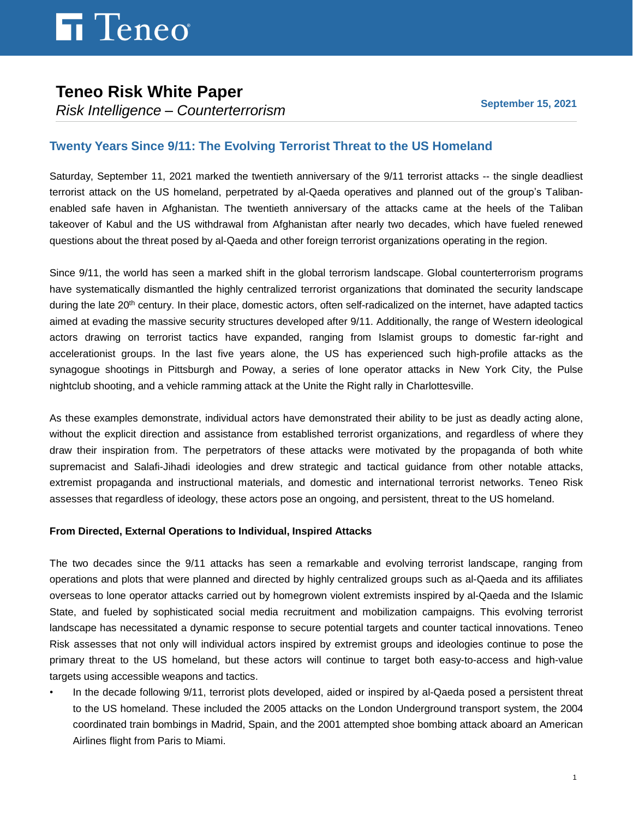### **Teneo Risk White Paper**

*Risk Intelligence – Counterterrorism* 

### **Twenty Years Since 9/11: The Evolving Terrorist Threat to the US Homeland**

Saturday, September 11, 2021 marked the twentieth anniversary of the 9/11 terrorist attacks -- the single deadliest terrorist attack on the US homeland, perpetrated by al-Qaeda operatives and planned out of the group's Talibanenabled safe haven in Afghanistan. The twentieth anniversary of the attacks came at the heels of the Taliban takeover of Kabul and the US withdrawal from Afghanistan after nearly two decades, which have fueled renewed questions about the threat posed by al-Qaeda and other foreign terrorist organizations operating in the region.

Since 9/11, the world has seen a marked shift in the global terrorism landscape. Global counterterrorism programs have systematically dismantled the highly centralized terrorist organizations that dominated the security landscape during the late 20<sup>th</sup> century. In their place, domestic actors, often self-radicalized on the internet, have adapted tactics aimed at evading the massive security structures developed after 9/11. Additionally, the range of Western ideological actors drawing on terrorist tactics have expanded, ranging from Islamist groups to domestic far-right and accelerationist groups. In the last five years alone, the US has experienced such high-profile attacks as the synagogue shootings in Pittsburgh and Poway, a series of lone operator attacks in New York City, the Pulse nightclub shooting, and a vehicle ramming attack at the Unite the Right rally in Charlottesville.

As these examples demonstrate, individual actors have demonstrated their ability to be just as deadly acting alone, without the explicit direction and assistance from established terrorist organizations, and regardless of where they draw their inspiration from. The perpetrators of these attacks were motivated by the propaganda of both white supremacist and Salafi-Jihadi ideologies and drew strategic and tactical guidance from other notable attacks, extremist propaganda and instructional materials, and domestic and international terrorist networks. Teneo Risk assesses that regardless of ideology, these actors pose an ongoing, and persistent, threat to the US homeland.

### **From Directed, External Operations to Individual, Inspired Attacks**

The two decades since the 9/11 attacks has seen a remarkable and evolving terrorist landscape, ranging from operations and plots that were planned and directed by highly centralized groups such as al-Qaeda and its affiliates overseas to lone operator attacks carried out by homegrown violent extremists inspired by al-Qaeda and the Islamic State, and fueled by sophisticated social media recruitment and mobilization campaigns. This evolving terrorist landscape has necessitated a dynamic response to secure potential targets and counter tactical innovations. Teneo Risk assesses that not only will individual actors inspired by extremist groups and ideologies continue to pose the primary threat to the US homeland, but these actors will continue to target both easy-to-access and high-value targets using accessible weapons and tactics.

• In the decade following 9/11, terrorist plots developed, aided or inspired by al-Qaeda posed a persistent threat to the US homeland. These included the 2005 attacks on the London Underground transport system, the 2004 coordinated train bombings in Madrid, Spain, and the 2001 attempted shoe bombing attack aboard an American Airlines flight from Paris to Miami.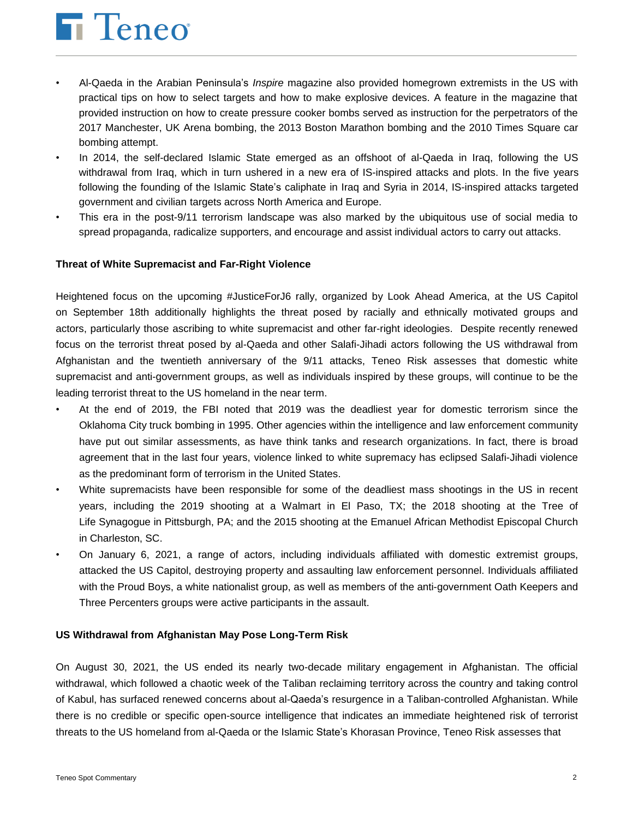# **h** Teneo

- Al-Qaeda in the Arabian Peninsula's *Inspire* magazine also provided homegrown extremists in the US with practical tips on how to select targets and how to make explosive devices. A feature in the magazine that provided instruction on how to create pressure cooker bombs served as instruction for the perpetrators of the 2017 Manchester, UK Arena bombing, the 2013 Boston Marathon bombing and the 2010 Times Square car bombing attempt.
- In 2014, the self-declared Islamic State emerged as an offshoot of al-Qaeda in Iraq, following the US withdrawal from Iraq, which in turn ushered in a new era of IS-inspired attacks and plots. In the five years following the founding of the Islamic State's caliphate in Iraq and Syria in 2014, IS-inspired attacks targeted government and civilian targets across North America and Europe.
- This era in the post-9/11 terrorism landscape was also marked by the ubiquitous use of social media to spread propaganda, radicalize supporters, and encourage and assist individual actors to carry out attacks.

#### **Threat of White Supremacist and Far-Right Violence**

Heightened focus on the upcoming #JusticeForJ6 rally, organized by Look Ahead America, at the US Capitol on September 18th additionally highlights the threat posed by racially and ethnically motivated groups and actors, particularly those ascribing to white supremacist and other far-right ideologies. Despite recently renewed focus on the terrorist threat posed by al-Qaeda and other Salafi-Jihadi actors following the US withdrawal from Afghanistan and the twentieth anniversary of the 9/11 attacks, Teneo Risk assesses that domestic white supremacist and anti-government groups, as well as individuals inspired by these groups, will continue to be the leading terrorist threat to the US homeland in the near term.

- At the end of 2019, the FBI noted that 2019 was the deadliest year for domestic terrorism since the Oklahoma City truck bombing in 1995. Other agencies within the intelligence and law enforcement community have put out similar assessments, as have think tanks and research organizations. In fact, there is broad agreement that in the last four years, violence linked to white supremacy has eclipsed Salafi-Jihadi violence as the predominant form of terrorism in the United States.
- White supremacists have been responsible for some of the deadliest mass shootings in the US in recent years, including the 2019 shooting at a Walmart in El Paso, TX; the 2018 shooting at the Tree of Life Synagogue in Pittsburgh, PA; and the 2015 shooting at the Emanuel African Methodist Episcopal Church in Charleston, SC.
- On January 6, 2021, a range of actors, including individuals affiliated with domestic extremist groups, attacked the US Capitol, destroying property and assaulting law enforcement personnel. Individuals affiliated with the Proud Boys, a white nationalist group, as well as members of the anti-government Oath Keepers and Three Percenters groups were active participants in the assault.

#### **US Withdrawal from Afghanistan May Pose Long-Term Risk**

On August 30, 2021, the US ended its nearly two-decade military engagement in Afghanistan. The official withdrawal, which followed a chaotic week of the Taliban reclaiming territory across the country and taking control of Kabul, has surfaced renewed concerns about al-Qaeda's resurgence in a Taliban-controlled Afghanistan. While there is no credible or specific open-source intelligence that indicates an immediate heightened risk of terrorist threats to the US homeland from al-Qaeda or the Islamic State's Khorasan Province, Teneo Risk assesses that